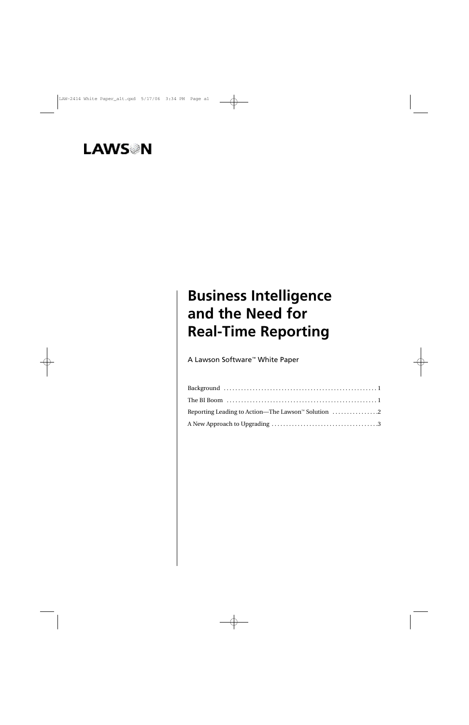# **LAWS**<sup>N</sup>

# **Business Intelligence and the Need for Real-Time Reporting**

A Lawson Software™ White Paper

| Reporting Leading to Action—The Lawson <sup>®</sup> Solution $\ldots$ 2 |
|-------------------------------------------------------------------------|
|                                                                         |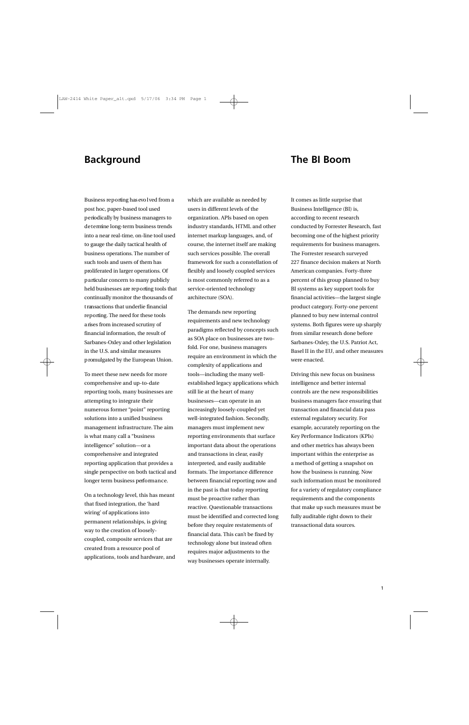### **Background The BI Boom**

Business reporting has evolved from a post hoc, paper-based tool used p e riodically by business managers to d e t e rmine long-term business trends into a near real-time, on-line tool used to gauge the daily tactical health of business operations. The number of such tools and users of them has proliferated in larger operations. Of p a rticular concern to many publicly held businesses are reporting tools that continually monitor the thousands of t ransactions that underlie financial reporting. The need for these tools a rises from increased scrutiny of financial information, the result of Sarbanes-Oxley and other legislation in the U.S. and similar measures p romulgated by the European Union.

To meet these new needs for more comprehensive and up-to-date reporting tools, many businesses are attempting to integrate their numerous former "point" reporting solutions into a unified business management infrastructure. The aim is what many call a "business intelligence" solution—or a comprehensive and integrated reporting application that provides a single perspective on both tactical and longer term business performance.

On a technology level, this has meant that fixed integration, the 'hard wiring' of applications into permanent relationships, is giving way to the creation of looselycoupled, composite services that are created from a resource pool of applications, tools and hardware, and

which are available as needed by users in different levels of the organization. APIs based on open industry standards, HTML and other internet markup languages, and, of course, the internet itself are making such services possible. The overall framework for such a constellation of flexibly and loosely coupled services is most commonly referred to as a service-oriented technology architecture (SOA).

The demands new reporting requirements and new technology paradigms reflected by concepts such as SOA place on businesses are twofold. For one, business managers require an environment in which the complexity of applications and tools—including the many wellestablished legacy applications which still lie at the heart of many businesses—can operate in an increasingly loosely-coupled yet well-integrated fashion. Secondly, managers must implement new reporting environments that surface important data about the operations and transactions in clear, easily interpreted, and easily auditable formats. The importance difference between financial reporting now and in the past is that today reporting must be proactive rather than reactive. Questionable transactions must be identified and corrected long before they require restatements of financial data. This can't be fixed by technology alone but instead often requires major adjustments to the way businesses operate internally.

It comes as little surprise that Business Intelligence (BI) is, according to recent research conducted by Forrester Research, fast becoming one of the highest priority requirements for business managers. The Forrester research surveyed 227 finance decision makers at North American companies. Forty-three percent of this group planned to buy BI systems as key support tools for financial activities—the largest single product category. Forty-one percent planned to buy new internal control systems. Both figures were up sharply from similar research done before Sarbanes-Oxley, the U.S. Patriot Act, Basel II in the EU, and other measures were enacted.

Driving this new focus on business intelligence and better internal controls are the new responsibilities business managers face ensuring that transaction and financial data pass external regulatory security. For example, accurately reporting on the Key Performance Indicators (KPIs) and other metrics has always been important within the enterprise as a method of getting a snapshot on how the business is running. Now such information must be monitored for a variety of regulatory compliance requirements and the components that make up such measures must be fully auditable right down to their transactional data sources.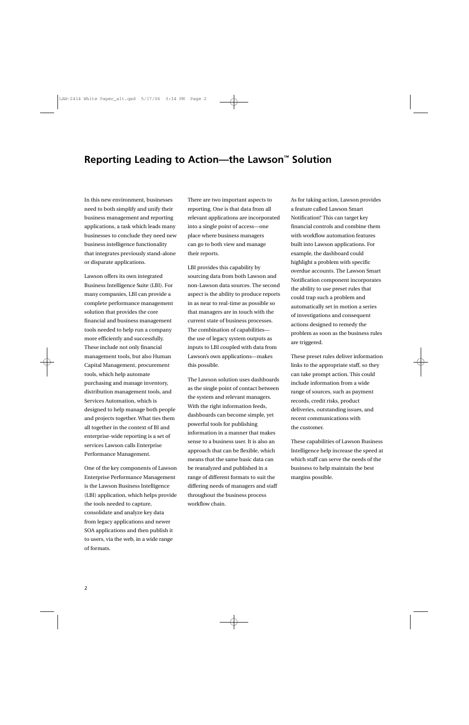### **Reporting Leading to Action—the Lawson™ Solution**

In this new environment, businesses need to both simplify and unify their business management and reporting applications, a task which leads many businesses to conclude they need new business intelligence functionality that integrates previously stand-alone or disparate applications.

Lawson offers its own integrated Business Intelligence Suite (LBI). For many companies, LBI can provide a complete performance management solution that provides the core financial and business management tools needed to help run a company more efficiently and successfully. These include not only financial management tools, but also Human Capital Management, procurement tools, which help automate purchasing and manage inventory, distribution management tools, and Services Automation, which is designed to help manage both people and projects together. What ties them all together in the context of BI and enterprise-wide reporting is a set of services Lawson calls Enterprise Performance Management.

One of the key components of Lawson Enterprise Performance Management is the Lawson Business Intelligence (LBI) application, which helps provide the tools needed to capture, consolidate and analyze key data from legacy applications and newer SOA applications and then publish it to users, via the web, in a wide range of formats.

There are two important aspects to reporting. One is that data from all relevant applications are incorporated into a single point of access—one place where business managers can go to both view and manage their reports.

LBI provides this capability by sourcing data from both Lawson and non-Lawson data sources. The second aspect is the ability to produce reports in as near to real-time as possible so that managers are in touch with the current state of business processes. The combination of capabilities the use of legacy system outputs as inputs to LBI coupled with data from Lawson's own applications—makes this possible.

The Lawson solution uses dashboards as the single point of contact between the system and relevant managers. With the right information feeds, dashboards can become simple, yet powerful tools for publishing information in a manner that makes sense to a business user. It is also an approach that can be flexible, which means that the same basic data can be reanalyzed and published in a range of different formats to suit the differing needs of managers and staff throughout the business process workflow chain.

As for taking action, Lawson provides a feature called Lawson Smart Notification.<sup>®</sup> This can target key financial controls and combine them with workflow automation features built into Lawson applications. For example, the dashboard could highlight a problem with specific overdue accounts. The Lawson Smart Notification component incorporates the ability to use preset rules that could trap such a problem and automatically set in motion a series of investigations and consequent actions designed to remedy the problem as soon as the business rules are triggered.

These preset rules deliver information links to the appropriate staff, so they can take prompt action. This could include information from a wide range of sources, such as payment records, credit risks, product deliveries, outstanding issues, and recent communications with the customer.

These capabilities of Lawson Business Intelligence help increase the speed at which staff can serve the needs of the business to help maintain the best margins possible.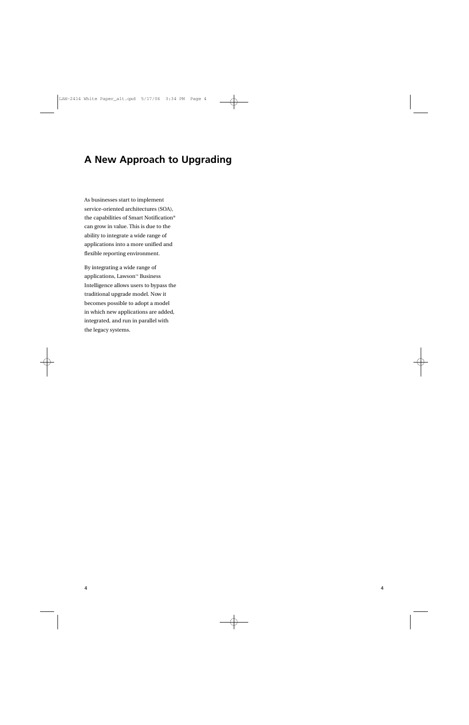### **A New Approach to Upgrading**

As businesses start to implement service-oriented architectures (SOA), the capabilities of Smart Notification® can grow in value. This is due to the ability to integrate a wide range of applications into a more unified and flexible reporting environment.

By integrating a wide range of applications, Lawson™ Business Intelligence allows users to bypass the traditional upgrade model. Now it becomes possible to adopt a model in which new applications are added, integrated, and run in parallel with the legacy systems.